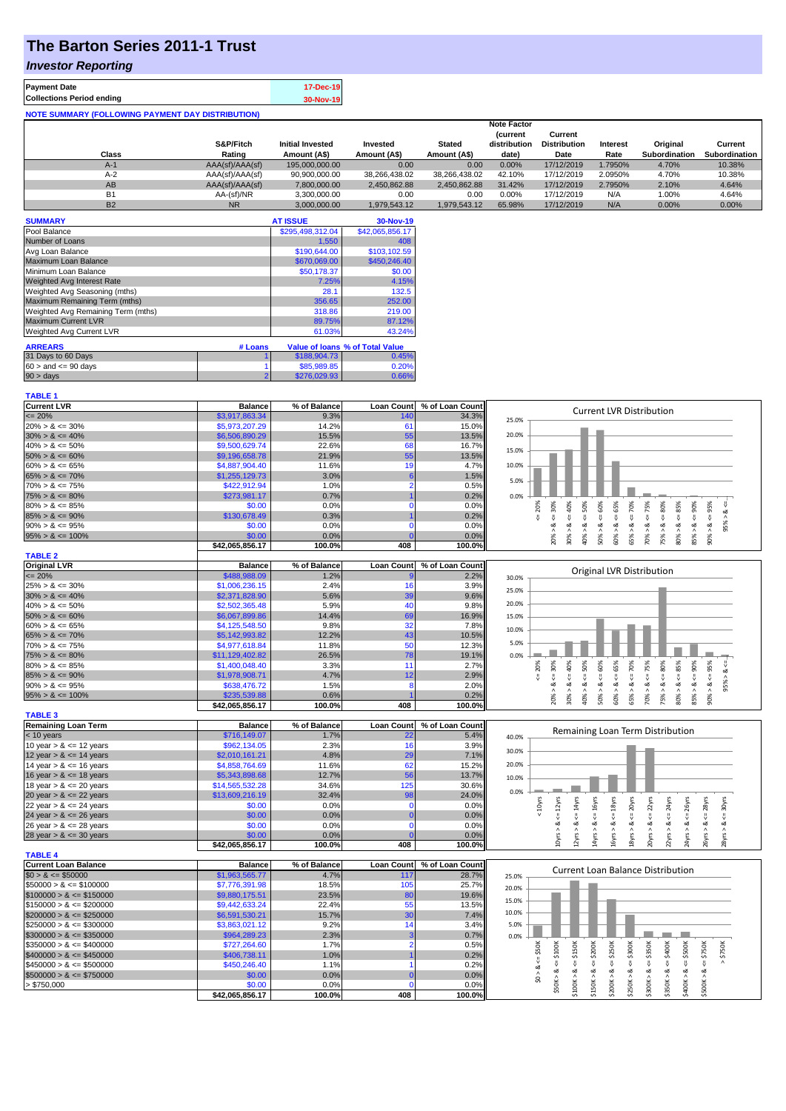## **The Barton Series 2011-1 Trust**

### *Investor Reporting*

| <b>Payment Date</b>                                      | 17-Dec-19 |
|----------------------------------------------------------|-----------|
| <b>Collections Period ending</b>                         | 30-Nov-19 |
| <b>NOTE SUMMARY (FOLLOWING PAYMENT DAY DISTRIBUTION)</b> |           |

|           |                 |                         |               |               | <b>Note Factor</b> |                     |                 |               |               |
|-----------|-----------------|-------------------------|---------------|---------------|--------------------|---------------------|-----------------|---------------|---------------|
|           |                 |                         |               |               | <b>Current</b>     | Current             |                 |               |               |
|           | S&P/Fitch       | <b>Initial Invested</b> | Invested      | <b>Stated</b> | distribution       | <b>Distribution</b> | <b>Interest</b> | Original      | Current       |
| Class     | Rating          | Amount (A\$)            | Amount (A\$)  | Amount (A\$)  | date)              | Date                | Rate            | Subordination | Subordination |
| $A-1$     | AAA(sf)/AAA(sf) | 195.000.000.00          | 0.00          | 0.00          | 0.00%              | 17/12/2019          | 1.7950%         | 4.70%         | 10.38%        |
| $A-2$     | AAA(sf)/AAA(sf) | 90,900,000.00           | 38,266,438.02 | 38.266.438.02 | 42.10%             | 17/12/2019          | 2.0950%         | 4.70%         | 10.38%        |
| AB        | AAA(sf)/AAA(sf) | 7.800.000.00            | 2.450.862.88  | 2.450.862.88  | 31.42%             | 17/12/2019          | 2.7950%         | 2.10%         | 4.64%         |
| <b>B1</b> | AA-(sf)/NR      | 3.300.000.00            | 0.00          | 0.00          | 0.00%              | 17/12/2019          | N/A             | 1.00%         | 4.64%         |
| <b>B2</b> | <b>NR</b>       | 3.000.000.00            | 1.979.543.12  | 1.979.543.12  | 65.98%             | 17/12/2019          | N/A             | 0.00%         | 0.00%         |

| <b>SUMMARY</b>                     |         | <b>AT ISSUE</b>  | 30-Nov-19                       |
|------------------------------------|---------|------------------|---------------------------------|
| Pool Balance                       |         | \$295,498,312.04 | \$42,065,856.17                 |
| Number of Loans                    |         | 1.550            | 408                             |
| Avg Loan Balance                   |         | \$190,644.00     | \$103,102.59                    |
| Maximum Loan Balance               |         | \$670,069,00     | \$450,246.40                    |
| Minimum Loan Balance               |         | \$50,178.37      | \$0.00                          |
| Weighted Avg Interest Rate         |         | 7.25%            | 4.15%                           |
| Weighted Avg Seasoning (mths)      |         | 28.1             | 132.5                           |
| Maximum Remaining Term (mths)      |         | 356.65           | 252.00                          |
| Weighted Avg Remaining Term (mths) |         | 318.86           | 219.00                          |
| <b>Maximum Current LVR</b>         |         | 89.75%           | 87.12%                          |
| Weighted Avg Current LVR           |         | 61.03%           | 43.24%                          |
| <b>ARREARS</b>                     | # Loans |                  | Value of Ioans % of Total Value |
| 31 Days to 60 Days                 |         | \$188,904.73     | 0.45%                           |
| $60 >$ and $\leq 90$ days          |         | \$85,989.85      | 0.20%                           |
| 90 > days                          |         | \$276,029.93     | 0.66%                           |

| <b>TABLE 1</b>              |                           |                |                    |                 |                                                                                                                                                                                                                                                                       |
|-----------------------------|---------------------------|----------------|--------------------|-----------------|-----------------------------------------------------------------------------------------------------------------------------------------------------------------------------------------------------------------------------------------------------------------------|
| <b>Current LVR</b>          | <b>Balance</b>            | % of Balance   | <b>Loan Count</b>  | % of Loan Count |                                                                                                                                                                                                                                                                       |
| $= 20%$                     | \$3,917,863.34            | 9.3%           | 140                | 34.3%           | <b>Current LVR Distribution</b><br>25.0%                                                                                                                                                                                                                              |
| $20\% > 8 \le 30\%$         | \$5,973,207.29            | 14.2%          | 61                 | 15.0%           |                                                                                                                                                                                                                                                                       |
| $30\% > 8 \le 40\%$         | \$6,506,890.29            | 15.5%          | 55                 | 13.5%           | 20.0%                                                                                                                                                                                                                                                                 |
| $40\% > 8 \le 50\%$         | \$9,500,629.74            | 22.6%          | 68                 | 16.7%           | 15.0%                                                                                                                                                                                                                                                                 |
| $50\% > 8 \le 60\%$         | \$9,196,658.78            | 21.9%          | 55                 | 13.5%           |                                                                                                                                                                                                                                                                       |
| $60\% > 8 \le 65\%$         | \$4,887,904.40            | 11.6%          | 19                 | 4.7%            | 10.0%                                                                                                                                                                                                                                                                 |
| $65\% > 8 \le 70\%$         | \$1,255,129.73            | 3.0%           | 6                  | 1.5%            |                                                                                                                                                                                                                                                                       |
| $70\% > 8 \le 75\%$         | \$422,912.94              | 1.0%           | $\overline{2}$     | 0.5%            | 5.0%                                                                                                                                                                                                                                                                  |
| $75\% > 8 \le 80\%$         | \$273,981.17              | 0.7%           |                    | 0.2%            | 0.0%                                                                                                                                                                                                                                                                  |
| $80\% > 8 \le 85\%$         | \$0.00                    | 0.0%           | $\Omega$           | 0.0%            | $4 = 30\%$<br>$\leq 50\%$<br>$4 = 75%$<br>$4 = 80\%$<br>$\epsilon = 90\%$<br>v                                                                                                                                                                                        |
| $85\% > 8 \le 90\%$         | \$130,678.49              | 0.3%           |                    | 0.2%            | $4 = 70\%$<br>$5 = 20%$<br>40%<br>ಷ                                                                                                                                                                                                                                   |
| $90\% > 8 \le 95\%$         | \$0.00                    | 0.0%           | $\Omega$           | 0.0%            | $<=65%$<br>95% ><br>ಷ<br>œ<br>ಷ<br>ø<br>త<br>ø                                                                                                                                                                                                                        |
| $95\% > 8 \le 100\%$        | \$0.00                    | 0.0%           | $\Omega$           | 0.0%            | $50\% > 8 <= 60\%$<br>$80\% > 8 <= 85\%$<br>$90\% > 8 <= 95\%$<br>85% > 8<br>20% ><br>30% ><br>40% ><br>60% ><br>65% ><br>70% ><br>75%                                                                                                                                |
|                             | \$42,065,856.17           | 100.0%         | 408                | 100.0%          |                                                                                                                                                                                                                                                                       |
| <b>TABLE 2</b>              |                           |                |                    |                 |                                                                                                                                                                                                                                                                       |
| <b>Original LVR</b>         | <b>Balance</b>            | % of Balance   | <b>Loan Count</b>  | % of Loan Count |                                                                                                                                                                                                                                                                       |
| $\epsilon = 20\%$           | \$488,988.09              | 1.2%           |                    | 2.2%            | <b>Original LVR Distribution</b><br>30.0%                                                                                                                                                                                                                             |
| $25\% > 8 \le 30\%$         | \$1,006,236.15            | 2.4%           | 16                 | 3.9%            |                                                                                                                                                                                                                                                                       |
| $30\% > 8 \le 40\%$         | \$2,371,828.90            | 5.6%           | 39                 | 9.6%            | 25.0%                                                                                                                                                                                                                                                                 |
| $40\% > 8 \le 50\%$         | \$2,502,365.48            | 5.9%           | 40                 | 9.8%            | 20.0%                                                                                                                                                                                                                                                                 |
| $50\% > 8 \le 60\%$         | \$6,067,899.86            | 14.4%          | 69                 | 16.9%           | 15.0%                                                                                                                                                                                                                                                                 |
| $60\% > 8 \le 65\%$         | \$4,125,548.50            | 9.8%           | 32                 | 7.8%            |                                                                                                                                                                                                                                                                       |
| $65\% > 8 \le 70\%$         | \$5,142,993.82            | 12.2%          | 43                 | 10.5%           | 10.0%                                                                                                                                                                                                                                                                 |
| $70\% > 8 \le 75\%$         | \$4,977,618.84            | 11.8%          | 50                 | 12.3%           | 5.0%                                                                                                                                                                                                                                                                  |
| $75\% > 8 \le 80\%$         | \$11,129,402.82           | 26.5%          | 78                 | 19.1%           | 0.0%                                                                                                                                                                                                                                                                  |
| $80\% > 8 \le 85\%$         | \$1,400,048.40            | 3.3%           | 11                 | 2.7%            | 50%<br>80%<br>20%                                                                                                                                                                                                                                                     |
| $85\% > 8 \le 90\%$         | \$1,978,908.71            | 4.7%           | 12                 | 2.9%            | $<=65%$<br>8 < 70%<br>$8 - 90%$<br>$4 = 30\%$<br>$4 - 40\%$<br>95% > 8 <<br>뀅                                                                                                                                                                                         |
| $90\% > 8 \le 95\%$         | \$638,476.72              | 1.5%           | $\boldsymbol{8}$   | 2.0%            | 8 < 1<br>₹<br>ಷ<br>ಷ<br>ಷ                                                                                                                                                                                                                                             |
| $95\% > 8 \le 100\%$        | \$235,539.88              | 0.6%           |                    | 0.2%            | $50\% > 8 <= 60\%$<br>$70\% > 8 \leq T5\%$<br>$80\% > 8 <= 85\%$<br>$90\% > 8 <= 95\%$<br>20% ><br>75% >                                                                                                                                                              |
|                             | \$42,065,856.17           | 100.0%         | 408                | 100.0%          | 30% ><br>40%<br>60% ><br>65% ><br>85%                                                                                                                                                                                                                                 |
| <b>TABLE 3</b>              |                           |                |                    |                 |                                                                                                                                                                                                                                                                       |
| <b>Remaining Loan Term</b>  | <b>Balance</b>            | % of Balance   | <b>Loan Count</b>  | % of Loan Count |                                                                                                                                                                                                                                                                       |
| < 10 years                  | \$716,149.07              | 1.7%           | 22                 | 5.4%            | Remaining Loan Term Distribution<br>40.0%                                                                                                                                                                                                                             |
| 10 year $> 8 \le 12$ years  | \$962,134.05              | 2.3%           | 16                 | 3.9%            |                                                                                                                                                                                                                                                                       |
| 12 year $> 8 \le 14$ years  | \$2,010,161.21            | 4.8%           | 29                 | 7.1%            | 30.0%                                                                                                                                                                                                                                                                 |
| 14 year $> 8 \le 16$ years  | \$4,858,764.69            | 11.6%          | 62                 | 15.2%           | 20.0%                                                                                                                                                                                                                                                                 |
| 16 year $> 8 \le 18$ years  | \$5,343,898.68            | 12.7%          | 56                 | 13.7%           | 10.0%                                                                                                                                                                                                                                                                 |
| 18 year $> 8 \le 20$ years  | \$14,565,532.28           | 34.6%          | 125                | 30.6%           |                                                                                                                                                                                                                                                                       |
| 20 year $> 8 \le 22$ years  | \$13,609,216.19           | 32.4%          | 98                 | 24.0%           | 0.0%                                                                                                                                                                                                                                                                  |
| 22 year $> 8 \le 24$ years  | \$0.00                    | 0.0%           | $\mathbf 0$        | 0.0%            | $\leq$ 20yrs<br>$\Leftarrow$ 22 $\gamma$ rs<br>$\Leftarrow$ 12yrs<br>$\leq 14$ yrs<br>$\Leftarrow$ 16yrs<br>$\leq 18$ yrs<br>24yrs<br>$\leq$ 28yrs<br>$\Leftarrow$ 30yrs<br>26yrs<br>$< 10$ yrs                                                                       |
| 24 year $> 8 \le 26$ years  | \$0.00                    | 0.0%           |                    | 0.0%            | $\overset{\text{\tiny{II}}}{\mathsf{\tiny{V}}}$<br>₹                                                                                                                                                                                                                  |
| 26 year $> 8 \le 28$ years  | \$0.00                    | 0.0%           | $\mathbf 0$        | 0.0%            | ઌ<br>ಷ<br>ઌ<br>ವ<br>త                                                                                                                                                                                                                                                 |
| 28 year $> 8 \le 30$ years  | \$0.00                    | 0.0%           |                    | 0.0%            |                                                                                                                                                                                                                                                                       |
|                             | \$42,065,856.17           | 100.0%         | 408                | 100.0%          | 18yrs > 8<br>10yrs > 8<br>20yrs > 8<br>22yrs > 8<br>24yrs > 8<br>12yrs > 8<br>14yrs > 8<br>16yrs > 8<br>26yrs > 8<br>28yrs > l                                                                                                                                        |
| <b>TABLE 4</b>              |                           |                |                    |                 |                                                                                                                                                                                                                                                                       |
| <b>Current Loan Balance</b> | <b>Balance</b>            | % of Balance   | <b>Loan Count</b>  | % of Loan Count |                                                                                                                                                                                                                                                                       |
| $$0 > 8 \le $50000$         | \$1,963,565.77            | 4.7%           | 117                | 28.7%           | Current Loan Balance Distribution<br>25.0%                                                                                                                                                                                                                            |
| $$50000 > 8 \le $100000$    | \$7,776,391.98            | 18.5%          | 105                | 25.7%           | 20.0%                                                                                                                                                                                                                                                                 |
| $$100000 > 8 \leq $150000$  | \$9,880,175.51            | 23.5%          | 80                 | 19.6%           |                                                                                                                                                                                                                                                                       |
| $$150000 > 8 \leq $200000$  | \$9,442,633.24            | 22.4%          | 55                 | 13.5%           | 15.0%                                                                                                                                                                                                                                                                 |
| $$200000 > 8 \leq $250000$  | \$6,591,530.21            | 15.7%          | 30                 | 7.4%            | 10.0%                                                                                                                                                                                                                                                                 |
| $$250000 > 8 \leq $300000$  | \$3,863,021.12            | 9.2%           | 14                 | 3.4%            | 5.0%                                                                                                                                                                                                                                                                  |
| $$300000 > 8 \leq $350000$  | \$964,289.23              | 2.3%           |                    | 0.7%            | 0.0%                                                                                                                                                                                                                                                                  |
| $$350000 > 8 \leq $400000$  | \$727,264.60              | 1.7%           | $\mathcal{P}$      | 0.5%            |                                                                                                                                                                                                                                                                       |
| $$400000 > 8 \leq $450000$  | \$406,738.11              | 1.0%           |                    | 0.2%            | $>$ \$750 $K$                                                                                                                                                                                                                                                         |
| $$450000 > 8 \le $500000$   | \$450,246.40              | 1.1%           |                    | 0.2%            | $$50K > 8 \Leftarrow $100K$<br>$$0 > 8 <= $50$ K<br>$$200K > 8 \Leftarrow $250K$<br>$$300K > 8 \Leftarrow $350K$<br>$4 = $400K$<br>$$400K > 8 \Leftarrow $500K$<br>$$100K > 8 \Leftarrow $150K$<br>$4 = $200K$<br>$$250K > 8 \Leftarrow $300K$<br>$\Leftarrow$ \$750K |
| $$500000 > 8 \leq $750000$  | \$0.00                    | 0.0%           |                    | 0.0%            |                                                                                                                                                                                                                                                                       |
|                             |                           |                |                    |                 | \$350K > 8<br>\$150K > 8<br>\$500K > 8                                                                                                                                                                                                                                |
|                             |                           |                |                    |                 |                                                                                                                                                                                                                                                                       |
| > \$750,000                 | \$0.00<br>\$42.065.856.17 | 0.0%<br>100.0% | $\mathbf 0$<br>408 | 0.0%<br>100.0%  |                                                                                                                                                                                                                                                                       |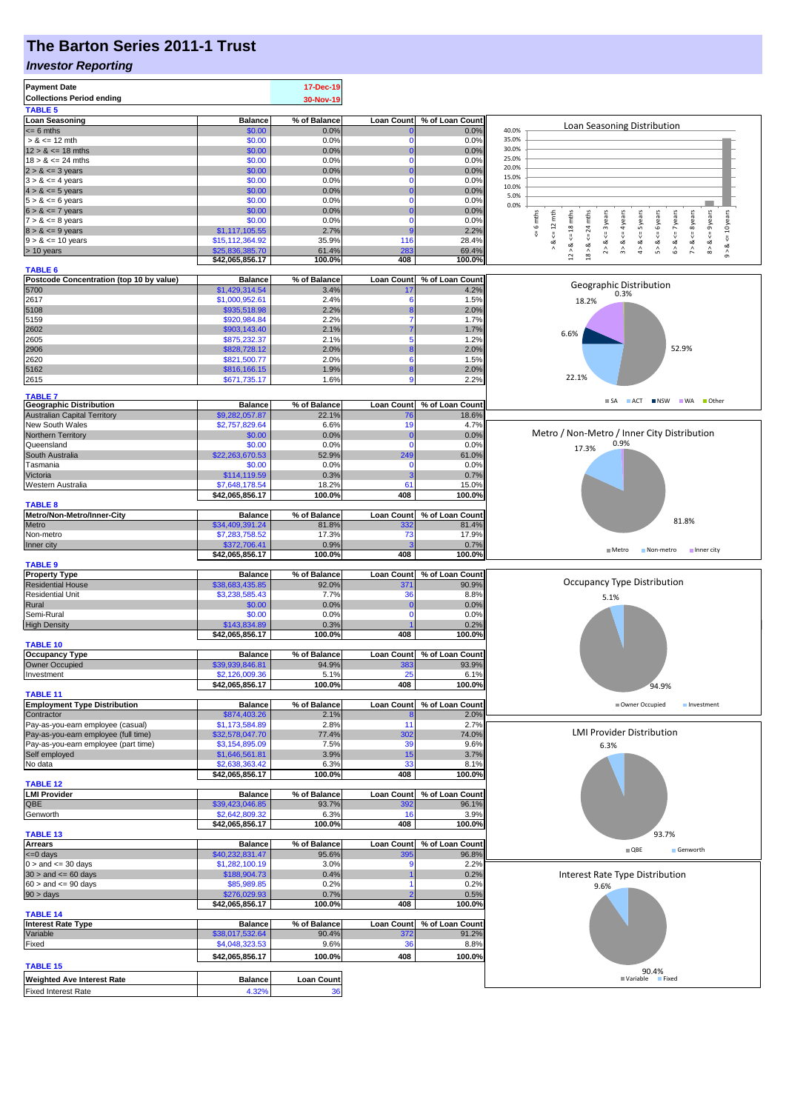## **The Barton Series 2011-1 Trust**

### *Investor Reporting*

| <b>Collections Period ending</b><br>30-Nov-19<br><b>TABLE 5</b><br><b>Loan Seasoning</b><br>% of Balance<br>% of Loan Count<br><b>Balance</b><br><b>Loan Count</b><br>Loan Seasoning Distribution<br>$= 6$ mths<br>\$0.00<br>40.0%<br>0.0%<br>0.0%<br>0<br>35.0%<br>\$0.00<br>0.0%<br>0.0%<br>$> 8 \le 12$ mth<br>n<br>30.0%<br>\$0.00<br>$12 > 8 \le 18$ mths<br>0.0%<br>0.0%<br>0<br>25.0%<br>\$0.00<br>0.0%<br>$18 > 8 \le 24$ mths<br>0.0%<br>0<br>20.0%<br>$2 > 8 \le 3$ years<br>\$0.00<br>0.0%<br>0.0%<br>0<br>15.0%<br>$3 > 8 \le 4$ years<br>\$0.00<br>0.0%<br>0.0%<br>0<br>10.0%<br>$4 > 8 \le 5$ years<br>\$0.00<br>0.0%<br>0.0%<br>$\Omega$<br>5.0%<br>\$0.00<br>0.0%<br>0.0%<br>0<br>0.0%<br>\$0.00<br>0.0%<br>0.0%<br>0<br>$8 > 8 \leq 9$ years<br>6 mths<br>$\leq$ 18 mths<br>$mths$<br>$\leq 12$ mth<br>$2 > 8$ <= 3 years<br>$\leq$ = 4 years<br>$4 > 8$ <= 5 years<br>$\leq$ = 6 years<br>$6 > 8$ <= 7 years<br>$\leq$ 8 years<br>$7 > 8 \le 8$ years<br>\$0.00<br>0.0%<br>0.0%<br>0<br>24<br>$8 > 8 \le 9$ years<br>\$1,117,105.55<br>2.7%<br>2.2%<br>ç<br>뵹<br>₩<br>\$15,112,364.92<br>35.9%<br>116<br>28.4%<br>∞<br>య<br>∞<br>ಷ<br>ಷ<br>œ<br>$\wedge$<br>$\stackrel{\wedge}{\scriptstyle\sigma}$<br>$\hat{\mathbf{r}}$<br>$\hat{\mathcal{L}}$<br>> 10 years<br>61.4%<br>283<br>69.4%<br>\$25,836,385.70<br>$12$ $\times$<br>$18 >$<br>100.0%<br>408<br>\$42,065,856.17<br>100.0%<br><b>TABLE 6</b><br>Postcode Concentration (top 10 by value)<br>% of Loan Count<br><b>Balance</b><br>% of Balance<br>Loan Count<br>Geographic Distribution<br>\$1,429,314.54<br>4.2%<br>3.4%<br>17<br>0.3%<br>\$1,000,952.61<br>2617<br>2.4%<br>1.5%<br>6<br>18.2%<br>5108<br>2.2%<br>\$935,518.98<br>2.0%<br>5159<br>2.2%<br>\$920,984.84<br>1.7%<br>2602<br>\$903,143.40<br>2.1%<br>1.7%<br>6.6%<br>\$875,232.37<br>2605<br>2.1%<br>1.2%<br>52.9%<br>2906<br>\$828,728.12<br>2.0%<br>2.0%<br>2620<br>\$821,500.77<br>2.0%<br>1.5%<br>6<br>5162<br>\$816,166.15<br>1.9%<br>2.0%<br>8<br>22.1%<br>\$671,735.17<br>2615<br>1.6%<br>2.2%<br><b>TABLE 7</b><br>SA ACT NSW WA Other<br><b>Geographic Distribution</b><br><b>Balance</b><br>% of Balance<br><b>Loan Count</b><br>% of Loan Count<br><b>Australian Capital Territory</b><br>\$9,282,057.87<br>22.1%<br>18.6%<br>76 | <= 10 years<br>$9 - 8$ |
|-------------------------------------------------------------------------------------------------------------------------------------------------------------------------------------------------------------------------------------------------------------------------------------------------------------------------------------------------------------------------------------------------------------------------------------------------------------------------------------------------------------------------------------------------------------------------------------------------------------------------------------------------------------------------------------------------------------------------------------------------------------------------------------------------------------------------------------------------------------------------------------------------------------------------------------------------------------------------------------------------------------------------------------------------------------------------------------------------------------------------------------------------------------------------------------------------------------------------------------------------------------------------------------------------------------------------------------------------------------------------------------------------------------------------------------------------------------------------------------------------------------------------------------------------------------------------------------------------------------------------------------------------------------------------------------------------------------------------------------------------------------------------------------------------------------------------------------------------------------------------------------------------------------------------------------------------------------------------------------------------------------------------------------------------------------------------------------------------------------------------------------------------------------------------------------------------------------------------------------------------------------------------------------|------------------------|
|                                                                                                                                                                                                                                                                                                                                                                                                                                                                                                                                                                                                                                                                                                                                                                                                                                                                                                                                                                                                                                                                                                                                                                                                                                                                                                                                                                                                                                                                                                                                                                                                                                                                                                                                                                                                                                                                                                                                                                                                                                                                                                                                                                                                                                                                                     |                        |
| $5 > 8 \le 6$ years<br>$6 > 8 \le 7$ years<br>$9 > 8 \le 10$ years<br>5700                                                                                                                                                                                                                                                                                                                                                                                                                                                                                                                                                                                                                                                                                                                                                                                                                                                                                                                                                                                                                                                                                                                                                                                                                                                                                                                                                                                                                                                                                                                                                                                                                                                                                                                                                                                                                                                                                                                                                                                                                                                                                                                                                                                                          |                        |
|                                                                                                                                                                                                                                                                                                                                                                                                                                                                                                                                                                                                                                                                                                                                                                                                                                                                                                                                                                                                                                                                                                                                                                                                                                                                                                                                                                                                                                                                                                                                                                                                                                                                                                                                                                                                                                                                                                                                                                                                                                                                                                                                                                                                                                                                                     |                        |
|                                                                                                                                                                                                                                                                                                                                                                                                                                                                                                                                                                                                                                                                                                                                                                                                                                                                                                                                                                                                                                                                                                                                                                                                                                                                                                                                                                                                                                                                                                                                                                                                                                                                                                                                                                                                                                                                                                                                                                                                                                                                                                                                                                                                                                                                                     |                        |
|                                                                                                                                                                                                                                                                                                                                                                                                                                                                                                                                                                                                                                                                                                                                                                                                                                                                                                                                                                                                                                                                                                                                                                                                                                                                                                                                                                                                                                                                                                                                                                                                                                                                                                                                                                                                                                                                                                                                                                                                                                                                                                                                                                                                                                                                                     |                        |
|                                                                                                                                                                                                                                                                                                                                                                                                                                                                                                                                                                                                                                                                                                                                                                                                                                                                                                                                                                                                                                                                                                                                                                                                                                                                                                                                                                                                                                                                                                                                                                                                                                                                                                                                                                                                                                                                                                                                                                                                                                                                                                                                                                                                                                                                                     |                        |
|                                                                                                                                                                                                                                                                                                                                                                                                                                                                                                                                                                                                                                                                                                                                                                                                                                                                                                                                                                                                                                                                                                                                                                                                                                                                                                                                                                                                                                                                                                                                                                                                                                                                                                                                                                                                                                                                                                                                                                                                                                                                                                                                                                                                                                                                                     |                        |
|                                                                                                                                                                                                                                                                                                                                                                                                                                                                                                                                                                                                                                                                                                                                                                                                                                                                                                                                                                                                                                                                                                                                                                                                                                                                                                                                                                                                                                                                                                                                                                                                                                                                                                                                                                                                                                                                                                                                                                                                                                                                                                                                                                                                                                                                                     |                        |
|                                                                                                                                                                                                                                                                                                                                                                                                                                                                                                                                                                                                                                                                                                                                                                                                                                                                                                                                                                                                                                                                                                                                                                                                                                                                                                                                                                                                                                                                                                                                                                                                                                                                                                                                                                                                                                                                                                                                                                                                                                                                                                                                                                                                                                                                                     |                        |
|                                                                                                                                                                                                                                                                                                                                                                                                                                                                                                                                                                                                                                                                                                                                                                                                                                                                                                                                                                                                                                                                                                                                                                                                                                                                                                                                                                                                                                                                                                                                                                                                                                                                                                                                                                                                                                                                                                                                                                                                                                                                                                                                                                                                                                                                                     |                        |
|                                                                                                                                                                                                                                                                                                                                                                                                                                                                                                                                                                                                                                                                                                                                                                                                                                                                                                                                                                                                                                                                                                                                                                                                                                                                                                                                                                                                                                                                                                                                                                                                                                                                                                                                                                                                                                                                                                                                                                                                                                                                                                                                                                                                                                                                                     |                        |
|                                                                                                                                                                                                                                                                                                                                                                                                                                                                                                                                                                                                                                                                                                                                                                                                                                                                                                                                                                                                                                                                                                                                                                                                                                                                                                                                                                                                                                                                                                                                                                                                                                                                                                                                                                                                                                                                                                                                                                                                                                                                                                                                                                                                                                                                                     |                        |
|                                                                                                                                                                                                                                                                                                                                                                                                                                                                                                                                                                                                                                                                                                                                                                                                                                                                                                                                                                                                                                                                                                                                                                                                                                                                                                                                                                                                                                                                                                                                                                                                                                                                                                                                                                                                                                                                                                                                                                                                                                                                                                                                                                                                                                                                                     |                        |
|                                                                                                                                                                                                                                                                                                                                                                                                                                                                                                                                                                                                                                                                                                                                                                                                                                                                                                                                                                                                                                                                                                                                                                                                                                                                                                                                                                                                                                                                                                                                                                                                                                                                                                                                                                                                                                                                                                                                                                                                                                                                                                                                                                                                                                                                                     |                        |
|                                                                                                                                                                                                                                                                                                                                                                                                                                                                                                                                                                                                                                                                                                                                                                                                                                                                                                                                                                                                                                                                                                                                                                                                                                                                                                                                                                                                                                                                                                                                                                                                                                                                                                                                                                                                                                                                                                                                                                                                                                                                                                                                                                                                                                                                                     |                        |
|                                                                                                                                                                                                                                                                                                                                                                                                                                                                                                                                                                                                                                                                                                                                                                                                                                                                                                                                                                                                                                                                                                                                                                                                                                                                                                                                                                                                                                                                                                                                                                                                                                                                                                                                                                                                                                                                                                                                                                                                                                                                                                                                                                                                                                                                                     |                        |
|                                                                                                                                                                                                                                                                                                                                                                                                                                                                                                                                                                                                                                                                                                                                                                                                                                                                                                                                                                                                                                                                                                                                                                                                                                                                                                                                                                                                                                                                                                                                                                                                                                                                                                                                                                                                                                                                                                                                                                                                                                                                                                                                                                                                                                                                                     |                        |
|                                                                                                                                                                                                                                                                                                                                                                                                                                                                                                                                                                                                                                                                                                                                                                                                                                                                                                                                                                                                                                                                                                                                                                                                                                                                                                                                                                                                                                                                                                                                                                                                                                                                                                                                                                                                                                                                                                                                                                                                                                                                                                                                                                                                                                                                                     |                        |
|                                                                                                                                                                                                                                                                                                                                                                                                                                                                                                                                                                                                                                                                                                                                                                                                                                                                                                                                                                                                                                                                                                                                                                                                                                                                                                                                                                                                                                                                                                                                                                                                                                                                                                                                                                                                                                                                                                                                                                                                                                                                                                                                                                                                                                                                                     |                        |
|                                                                                                                                                                                                                                                                                                                                                                                                                                                                                                                                                                                                                                                                                                                                                                                                                                                                                                                                                                                                                                                                                                                                                                                                                                                                                                                                                                                                                                                                                                                                                                                                                                                                                                                                                                                                                                                                                                                                                                                                                                                                                                                                                                                                                                                                                     |                        |
|                                                                                                                                                                                                                                                                                                                                                                                                                                                                                                                                                                                                                                                                                                                                                                                                                                                                                                                                                                                                                                                                                                                                                                                                                                                                                                                                                                                                                                                                                                                                                                                                                                                                                                                                                                                                                                                                                                                                                                                                                                                                                                                                                                                                                                                                                     |                        |
|                                                                                                                                                                                                                                                                                                                                                                                                                                                                                                                                                                                                                                                                                                                                                                                                                                                                                                                                                                                                                                                                                                                                                                                                                                                                                                                                                                                                                                                                                                                                                                                                                                                                                                                                                                                                                                                                                                                                                                                                                                                                                                                                                                                                                                                                                     |                        |
|                                                                                                                                                                                                                                                                                                                                                                                                                                                                                                                                                                                                                                                                                                                                                                                                                                                                                                                                                                                                                                                                                                                                                                                                                                                                                                                                                                                                                                                                                                                                                                                                                                                                                                                                                                                                                                                                                                                                                                                                                                                                                                                                                                                                                                                                                     |                        |
|                                                                                                                                                                                                                                                                                                                                                                                                                                                                                                                                                                                                                                                                                                                                                                                                                                                                                                                                                                                                                                                                                                                                                                                                                                                                                                                                                                                                                                                                                                                                                                                                                                                                                                                                                                                                                                                                                                                                                                                                                                                                                                                                                                                                                                                                                     |                        |
|                                                                                                                                                                                                                                                                                                                                                                                                                                                                                                                                                                                                                                                                                                                                                                                                                                                                                                                                                                                                                                                                                                                                                                                                                                                                                                                                                                                                                                                                                                                                                                                                                                                                                                                                                                                                                                                                                                                                                                                                                                                                                                                                                                                                                                                                                     |                        |
|                                                                                                                                                                                                                                                                                                                                                                                                                                                                                                                                                                                                                                                                                                                                                                                                                                                                                                                                                                                                                                                                                                                                                                                                                                                                                                                                                                                                                                                                                                                                                                                                                                                                                                                                                                                                                                                                                                                                                                                                                                                                                                                                                                                                                                                                                     |                        |
|                                                                                                                                                                                                                                                                                                                                                                                                                                                                                                                                                                                                                                                                                                                                                                                                                                                                                                                                                                                                                                                                                                                                                                                                                                                                                                                                                                                                                                                                                                                                                                                                                                                                                                                                                                                                                                                                                                                                                                                                                                                                                                                                                                                                                                                                                     |                        |
|                                                                                                                                                                                                                                                                                                                                                                                                                                                                                                                                                                                                                                                                                                                                                                                                                                                                                                                                                                                                                                                                                                                                                                                                                                                                                                                                                                                                                                                                                                                                                                                                                                                                                                                                                                                                                                                                                                                                                                                                                                                                                                                                                                                                                                                                                     |                        |
|                                                                                                                                                                                                                                                                                                                                                                                                                                                                                                                                                                                                                                                                                                                                                                                                                                                                                                                                                                                                                                                                                                                                                                                                                                                                                                                                                                                                                                                                                                                                                                                                                                                                                                                                                                                                                                                                                                                                                                                                                                                                                                                                                                                                                                                                                     |                        |
|                                                                                                                                                                                                                                                                                                                                                                                                                                                                                                                                                                                                                                                                                                                                                                                                                                                                                                                                                                                                                                                                                                                                                                                                                                                                                                                                                                                                                                                                                                                                                                                                                                                                                                                                                                                                                                                                                                                                                                                                                                                                                                                                                                                                                                                                                     |                        |
| New South Wales<br>\$2,757,829.64<br>6.6%<br>19<br>4.7%                                                                                                                                                                                                                                                                                                                                                                                                                                                                                                                                                                                                                                                                                                                                                                                                                                                                                                                                                                                                                                                                                                                                                                                                                                                                                                                                                                                                                                                                                                                                                                                                                                                                                                                                                                                                                                                                                                                                                                                                                                                                                                                                                                                                                             |                        |
| Metro / Non-Metro / Inner City Distribution<br>Northern Territory<br>\$0.00<br>0.0%<br>0.0%<br>C                                                                                                                                                                                                                                                                                                                                                                                                                                                                                                                                                                                                                                                                                                                                                                                                                                                                                                                                                                                                                                                                                                                                                                                                                                                                                                                                                                                                                                                                                                                                                                                                                                                                                                                                                                                                                                                                                                                                                                                                                                                                                                                                                                                    |                        |
| 0.9%<br>Queensland<br>\$0.00<br>0.0%<br>0.0%<br>$\Omega$<br>17.3%                                                                                                                                                                                                                                                                                                                                                                                                                                                                                                                                                                                                                                                                                                                                                                                                                                                                                                                                                                                                                                                                                                                                                                                                                                                                                                                                                                                                                                                                                                                                                                                                                                                                                                                                                                                                                                                                                                                                                                                                                                                                                                                                                                                                                   |                        |
| South Australia<br>\$22,263,670.53<br>52.9%<br>249<br>61.0%                                                                                                                                                                                                                                                                                                                                                                                                                                                                                                                                                                                                                                                                                                                                                                                                                                                                                                                                                                                                                                                                                                                                                                                                                                                                                                                                                                                                                                                                                                                                                                                                                                                                                                                                                                                                                                                                                                                                                                                                                                                                                                                                                                                                                         |                        |
| Tasmania<br>\$0.00<br>0.0%<br>0.0%<br>n                                                                                                                                                                                                                                                                                                                                                                                                                                                                                                                                                                                                                                                                                                                                                                                                                                                                                                                                                                                                                                                                                                                                                                                                                                                                                                                                                                                                                                                                                                                                                                                                                                                                                                                                                                                                                                                                                                                                                                                                                                                                                                                                                                                                                                             |                        |
| \$114,119.59<br>Victoria<br>0.3%<br>0.7%<br>з                                                                                                                                                                                                                                                                                                                                                                                                                                                                                                                                                                                                                                                                                                                                                                                                                                                                                                                                                                                                                                                                                                                                                                                                                                                                                                                                                                                                                                                                                                                                                                                                                                                                                                                                                                                                                                                                                                                                                                                                                                                                                                                                                                                                                                       |                        |
| \$7,648,178.54<br>Western Australia<br>18.2%<br>61<br>15.0%                                                                                                                                                                                                                                                                                                                                                                                                                                                                                                                                                                                                                                                                                                                                                                                                                                                                                                                                                                                                                                                                                                                                                                                                                                                                                                                                                                                                                                                                                                                                                                                                                                                                                                                                                                                                                                                                                                                                                                                                                                                                                                                                                                                                                         |                        |
| \$42,065,856.17<br>100.0%<br>408<br>100.0%                                                                                                                                                                                                                                                                                                                                                                                                                                                                                                                                                                                                                                                                                                                                                                                                                                                                                                                                                                                                                                                                                                                                                                                                                                                                                                                                                                                                                                                                                                                                                                                                                                                                                                                                                                                                                                                                                                                                                                                                                                                                                                                                                                                                                                          |                        |
| <b>TABLE 8</b>                                                                                                                                                                                                                                                                                                                                                                                                                                                                                                                                                                                                                                                                                                                                                                                                                                                                                                                                                                                                                                                                                                                                                                                                                                                                                                                                                                                                                                                                                                                                                                                                                                                                                                                                                                                                                                                                                                                                                                                                                                                                                                                                                                                                                                                                      |                        |
| Metro/Non-Metro/Inner-City<br><b>Balance</b><br>% of Balance<br><b>Loan Count</b><br>% of Loan Count<br>81.8%                                                                                                                                                                                                                                                                                                                                                                                                                                                                                                                                                                                                                                                                                                                                                                                                                                                                                                                                                                                                                                                                                                                                                                                                                                                                                                                                                                                                                                                                                                                                                                                                                                                                                                                                                                                                                                                                                                                                                                                                                                                                                                                                                                       |                        |
| Metro<br>\$34,409,391.24<br>81.8%<br>332<br>81.4%                                                                                                                                                                                                                                                                                                                                                                                                                                                                                                                                                                                                                                                                                                                                                                                                                                                                                                                                                                                                                                                                                                                                                                                                                                                                                                                                                                                                                                                                                                                                                                                                                                                                                                                                                                                                                                                                                                                                                                                                                                                                                                                                                                                                                                   |                        |
| \$7,283,758.52<br>17.3%<br>73<br>17.9%<br>Non-metro                                                                                                                                                                                                                                                                                                                                                                                                                                                                                                                                                                                                                                                                                                                                                                                                                                                                                                                                                                                                                                                                                                                                                                                                                                                                                                                                                                                                                                                                                                                                                                                                                                                                                                                                                                                                                                                                                                                                                                                                                                                                                                                                                                                                                                 |                        |
| 0.9%<br>\$372,706.41<br>0.7%<br>Inner city<br>$M$ Metro<br>Non-metro Inner city                                                                                                                                                                                                                                                                                                                                                                                                                                                                                                                                                                                                                                                                                                                                                                                                                                                                                                                                                                                                                                                                                                                                                                                                                                                                                                                                                                                                                                                                                                                                                                                                                                                                                                                                                                                                                                                                                                                                                                                                                                                                                                                                                                                                     |                        |
| 100.0%<br>408<br>100.0%<br>\$42,065,856.17                                                                                                                                                                                                                                                                                                                                                                                                                                                                                                                                                                                                                                                                                                                                                                                                                                                                                                                                                                                                                                                                                                                                                                                                                                                                                                                                                                                                                                                                                                                                                                                                                                                                                                                                                                                                                                                                                                                                                                                                                                                                                                                                                                                                                                          |                        |
| <b>TABLE 9</b><br>% of Loan Count<br><b>Property Type</b><br><b>Balance</b><br>% of Balance<br><b>Loan Count</b>                                                                                                                                                                                                                                                                                                                                                                                                                                                                                                                                                                                                                                                                                                                                                                                                                                                                                                                                                                                                                                                                                                                                                                                                                                                                                                                                                                                                                                                                                                                                                                                                                                                                                                                                                                                                                                                                                                                                                                                                                                                                                                                                                                    |                        |
| <b>Occupancy Type Distribution</b><br><b>Residential House</b><br>\$38,683,435.85<br>92.0%<br>90.9%<br>37 <sup>°</sup>                                                                                                                                                                                                                                                                                                                                                                                                                                                                                                                                                                                                                                                                                                                                                                                                                                                                                                                                                                                                                                                                                                                                                                                                                                                                                                                                                                                                                                                                                                                                                                                                                                                                                                                                                                                                                                                                                                                                                                                                                                                                                                                                                              |                        |
| \$3,238,585.43<br>7.7%<br>36<br><b>Residential Unit</b><br>8.8%                                                                                                                                                                                                                                                                                                                                                                                                                                                                                                                                                                                                                                                                                                                                                                                                                                                                                                                                                                                                                                                                                                                                                                                                                                                                                                                                                                                                                                                                                                                                                                                                                                                                                                                                                                                                                                                                                                                                                                                                                                                                                                                                                                                                                     |                        |
| 5.1%<br>Rural<br>0.0%<br>\$0.00<br>0.0%<br>C                                                                                                                                                                                                                                                                                                                                                                                                                                                                                                                                                                                                                                                                                                                                                                                                                                                                                                                                                                                                                                                                                                                                                                                                                                                                                                                                                                                                                                                                                                                                                                                                                                                                                                                                                                                                                                                                                                                                                                                                                                                                                                                                                                                                                                        |                        |
| 0.0%<br>Semi-Rural<br>\$0.00<br>0.0%<br>0                                                                                                                                                                                                                                                                                                                                                                                                                                                                                                                                                                                                                                                                                                                                                                                                                                                                                                                                                                                                                                                                                                                                                                                                                                                                                                                                                                                                                                                                                                                                                                                                                                                                                                                                                                                                                                                                                                                                                                                                                                                                                                                                                                                                                                           |                        |
| <b>High Density</b><br>\$143,834.89<br>0.3%<br>0.2%                                                                                                                                                                                                                                                                                                                                                                                                                                                                                                                                                                                                                                                                                                                                                                                                                                                                                                                                                                                                                                                                                                                                                                                                                                                                                                                                                                                                                                                                                                                                                                                                                                                                                                                                                                                                                                                                                                                                                                                                                                                                                                                                                                                                                                 |                        |
| \$42,065,856.17<br>100.0%<br>408<br>100.0%                                                                                                                                                                                                                                                                                                                                                                                                                                                                                                                                                                                                                                                                                                                                                                                                                                                                                                                                                                                                                                                                                                                                                                                                                                                                                                                                                                                                                                                                                                                                                                                                                                                                                                                                                                                                                                                                                                                                                                                                                                                                                                                                                                                                                                          |                        |
| <b>TABLE 10</b>                                                                                                                                                                                                                                                                                                                                                                                                                                                                                                                                                                                                                                                                                                                                                                                                                                                                                                                                                                                                                                                                                                                                                                                                                                                                                                                                                                                                                                                                                                                                                                                                                                                                                                                                                                                                                                                                                                                                                                                                                                                                                                                                                                                                                                                                     |                        |
| <b>Occupancy Type</b><br>% of Balance<br><b>Loan Count</b><br>% of Loan Count<br><b>Balance</b>                                                                                                                                                                                                                                                                                                                                                                                                                                                                                                                                                                                                                                                                                                                                                                                                                                                                                                                                                                                                                                                                                                                                                                                                                                                                                                                                                                                                                                                                                                                                                                                                                                                                                                                                                                                                                                                                                                                                                                                                                                                                                                                                                                                     |                        |
| <b>Owner Occupied</b><br>\$39,939,846.81<br>94.9%<br>93.9%<br>383                                                                                                                                                                                                                                                                                                                                                                                                                                                                                                                                                                                                                                                                                                                                                                                                                                                                                                                                                                                                                                                                                                                                                                                                                                                                                                                                                                                                                                                                                                                                                                                                                                                                                                                                                                                                                                                                                                                                                                                                                                                                                                                                                                                                                   |                        |
| Investment<br>\$2,126,009.36<br>5.1%<br>6.1%                                                                                                                                                                                                                                                                                                                                                                                                                                                                                                                                                                                                                                                                                                                                                                                                                                                                                                                                                                                                                                                                                                                                                                                                                                                                                                                                                                                                                                                                                                                                                                                                                                                                                                                                                                                                                                                                                                                                                                                                                                                                                                                                                                                                                                        |                        |
| 100.0%<br>\$42,065,856.17<br>408<br>100.0%<br>94.9%                                                                                                                                                                                                                                                                                                                                                                                                                                                                                                                                                                                                                                                                                                                                                                                                                                                                                                                                                                                                                                                                                                                                                                                                                                                                                                                                                                                                                                                                                                                                                                                                                                                                                                                                                                                                                                                                                                                                                                                                                                                                                                                                                                                                                                 |                        |
| <b>TABLE 11</b>                                                                                                                                                                                                                                                                                                                                                                                                                                                                                                                                                                                                                                                                                                                                                                                                                                                                                                                                                                                                                                                                                                                                                                                                                                                                                                                                                                                                                                                                                                                                                                                                                                                                                                                                                                                                                                                                                                                                                                                                                                                                                                                                                                                                                                                                     |                        |
| <b>Employment Type Distribution</b><br>% of Loan Count<br><b>Balance</b><br>% of Balance<br><b>Loan Count</b><br>Owner Occupied<br>Investment<br>\$874,403.26<br>2.1%<br>2.0%                                                                                                                                                                                                                                                                                                                                                                                                                                                                                                                                                                                                                                                                                                                                                                                                                                                                                                                                                                                                                                                                                                                                                                                                                                                                                                                                                                                                                                                                                                                                                                                                                                                                                                                                                                                                                                                                                                                                                                                                                                                                                                       |                        |
| Contractor<br>Pay-as-you-earn employee (casual)<br>\$1,173,584.89<br>2.8%<br>11<br>2.7%                                                                                                                                                                                                                                                                                                                                                                                                                                                                                                                                                                                                                                                                                                                                                                                                                                                                                                                                                                                                                                                                                                                                                                                                                                                                                                                                                                                                                                                                                                                                                                                                                                                                                                                                                                                                                                                                                                                                                                                                                                                                                                                                                                                             |                        |
| <b>LMI Provider Distribution</b><br>Pay-as-you-earn employee (full time)<br>\$32,578,047.70<br>302<br>77.4%<br>74.0%                                                                                                                                                                                                                                                                                                                                                                                                                                                                                                                                                                                                                                                                                                                                                                                                                                                                                                                                                                                                                                                                                                                                                                                                                                                                                                                                                                                                                                                                                                                                                                                                                                                                                                                                                                                                                                                                                                                                                                                                                                                                                                                                                                |                        |
| Pay-as-you-earn employee (part time)<br>\$3,154,895.09<br>7.5%<br>39<br>9.6%<br>6.3%                                                                                                                                                                                                                                                                                                                                                                                                                                                                                                                                                                                                                                                                                                                                                                                                                                                                                                                                                                                                                                                                                                                                                                                                                                                                                                                                                                                                                                                                                                                                                                                                                                                                                                                                                                                                                                                                                                                                                                                                                                                                                                                                                                                                |                        |
| Self employed<br>\$1,646,561.81<br>3.9%<br>3.7%<br>15                                                                                                                                                                                                                                                                                                                                                                                                                                                                                                                                                                                                                                                                                                                                                                                                                                                                                                                                                                                                                                                                                                                                                                                                                                                                                                                                                                                                                                                                                                                                                                                                                                                                                                                                                                                                                                                                                                                                                                                                                                                                                                                                                                                                                               |                        |
| \$2,638,363.42<br>6.3%<br>33<br>No data<br>8.1%                                                                                                                                                                                                                                                                                                                                                                                                                                                                                                                                                                                                                                                                                                                                                                                                                                                                                                                                                                                                                                                                                                                                                                                                                                                                                                                                                                                                                                                                                                                                                                                                                                                                                                                                                                                                                                                                                                                                                                                                                                                                                                                                                                                                                                     |                        |
| \$42,065,856.17<br>100.0%<br>408<br>100.0%                                                                                                                                                                                                                                                                                                                                                                                                                                                                                                                                                                                                                                                                                                                                                                                                                                                                                                                                                                                                                                                                                                                                                                                                                                                                                                                                                                                                                                                                                                                                                                                                                                                                                                                                                                                                                                                                                                                                                                                                                                                                                                                                                                                                                                          |                        |
| <b>TABLE 12</b>                                                                                                                                                                                                                                                                                                                                                                                                                                                                                                                                                                                                                                                                                                                                                                                                                                                                                                                                                                                                                                                                                                                                                                                                                                                                                                                                                                                                                                                                                                                                                                                                                                                                                                                                                                                                                                                                                                                                                                                                                                                                                                                                                                                                                                                                     |                        |
| <b>LMI Provider</b><br>% of Balance<br>% of Loan Count<br><b>Balance</b><br><b>Loan Count</b>                                                                                                                                                                                                                                                                                                                                                                                                                                                                                                                                                                                                                                                                                                                                                                                                                                                                                                                                                                                                                                                                                                                                                                                                                                                                                                                                                                                                                                                                                                                                                                                                                                                                                                                                                                                                                                                                                                                                                                                                                                                                                                                                                                                       |                        |
| QBE<br>\$39,423,046.85<br>93.7%<br>96.1%<br>392                                                                                                                                                                                                                                                                                                                                                                                                                                                                                                                                                                                                                                                                                                                                                                                                                                                                                                                                                                                                                                                                                                                                                                                                                                                                                                                                                                                                                                                                                                                                                                                                                                                                                                                                                                                                                                                                                                                                                                                                                                                                                                                                                                                                                                     |                        |
| \$2,642,809.32<br>Genworth<br>6.3%<br>3.9%<br>16                                                                                                                                                                                                                                                                                                                                                                                                                                                                                                                                                                                                                                                                                                                                                                                                                                                                                                                                                                                                                                                                                                                                                                                                                                                                                                                                                                                                                                                                                                                                                                                                                                                                                                                                                                                                                                                                                                                                                                                                                                                                                                                                                                                                                                    |                        |
| \$42,065,856.17<br>100.0%<br>408<br>100.0%                                                                                                                                                                                                                                                                                                                                                                                                                                                                                                                                                                                                                                                                                                                                                                                                                                                                                                                                                                                                                                                                                                                                                                                                                                                                                                                                                                                                                                                                                                                                                                                                                                                                                                                                                                                                                                                                                                                                                                                                                                                                                                                                                                                                                                          |                        |
| 93.7%<br><b>TABLE 13</b><br><b>Arrears</b><br><b>Balance</b><br>% of Balance<br><b>Loan Count</b><br>% of Loan Count                                                                                                                                                                                                                                                                                                                                                                                                                                                                                                                                                                                                                                                                                                                                                                                                                                                                                                                                                                                                                                                                                                                                                                                                                                                                                                                                                                                                                                                                                                                                                                                                                                                                                                                                                                                                                                                                                                                                                                                                                                                                                                                                                                |                        |
| $\blacksquare$ QBE<br>Genworth<br><= 0 days<br>\$40,232,831.47<br>95.6%<br>96.8%<br><b>395</b>                                                                                                                                                                                                                                                                                                                                                                                                                                                                                                                                                                                                                                                                                                                                                                                                                                                                                                                                                                                                                                                                                                                                                                                                                                                                                                                                                                                                                                                                                                                                                                                                                                                                                                                                                                                                                                                                                                                                                                                                                                                                                                                                                                                      |                        |
| $0 >$ and $\lt = 30$ days<br>\$1,282,100.19<br>3.0%<br>2.2%                                                                                                                                                                                                                                                                                                                                                                                                                                                                                                                                                                                                                                                                                                                                                                                                                                                                                                                                                                                                                                                                                                                                                                                                                                                                                                                                                                                                                                                                                                                                                                                                                                                                                                                                                                                                                                                                                                                                                                                                                                                                                                                                                                                                                         |                        |
| $30 >$ and $\leq 60$ days<br>\$188,904.73<br>0.4%<br>0.2%<br>Interest Rate Type Distribution                                                                                                                                                                                                                                                                                                                                                                                                                                                                                                                                                                                                                                                                                                                                                                                                                                                                                                                                                                                                                                                                                                                                                                                                                                                                                                                                                                                                                                                                                                                                                                                                                                                                                                                                                                                                                                                                                                                                                                                                                                                                                                                                                                                        |                        |
| $60 >$ and $\leq 90$ days<br>\$85,989.85<br>0.2%<br>0.2%<br>9.6%                                                                                                                                                                                                                                                                                                                                                                                                                                                                                                                                                                                                                                                                                                                                                                                                                                                                                                                                                                                                                                                                                                                                                                                                                                                                                                                                                                                                                                                                                                                                                                                                                                                                                                                                                                                                                                                                                                                                                                                                                                                                                                                                                                                                                    |                        |
| $90 > \text{days}$<br>\$276,029.93<br>0.7%<br>0.5%                                                                                                                                                                                                                                                                                                                                                                                                                                                                                                                                                                                                                                                                                                                                                                                                                                                                                                                                                                                                                                                                                                                                                                                                                                                                                                                                                                                                                                                                                                                                                                                                                                                                                                                                                                                                                                                                                                                                                                                                                                                                                                                                                                                                                                  |                        |
| \$42,065,856.17<br>100.0%<br>408<br>100.0%                                                                                                                                                                                                                                                                                                                                                                                                                                                                                                                                                                                                                                                                                                                                                                                                                                                                                                                                                                                                                                                                                                                                                                                                                                                                                                                                                                                                                                                                                                                                                                                                                                                                                                                                                                                                                                                                                                                                                                                                                                                                                                                                                                                                                                          |                        |
| <b>TABLE 14</b>                                                                                                                                                                                                                                                                                                                                                                                                                                                                                                                                                                                                                                                                                                                                                                                                                                                                                                                                                                                                                                                                                                                                                                                                                                                                                                                                                                                                                                                                                                                                                                                                                                                                                                                                                                                                                                                                                                                                                                                                                                                                                                                                                                                                                                                                     |                        |
| <b>Interest Rate Type</b><br>% of Balance<br>% of Loan Count<br><b>Balance</b><br>Loan Count                                                                                                                                                                                                                                                                                                                                                                                                                                                                                                                                                                                                                                                                                                                                                                                                                                                                                                                                                                                                                                                                                                                                                                                                                                                                                                                                                                                                                                                                                                                                                                                                                                                                                                                                                                                                                                                                                                                                                                                                                                                                                                                                                                                        |                        |
| Variable<br>90.4%<br>91.2%<br>\$38,017,532.64<br>372                                                                                                                                                                                                                                                                                                                                                                                                                                                                                                                                                                                                                                                                                                                                                                                                                                                                                                                                                                                                                                                                                                                                                                                                                                                                                                                                                                                                                                                                                                                                                                                                                                                                                                                                                                                                                                                                                                                                                                                                                                                                                                                                                                                                                                |                        |
| \$4,048,323.53<br>9.6%<br>8.8%<br>Fixed<br>36                                                                                                                                                                                                                                                                                                                                                                                                                                                                                                                                                                                                                                                                                                                                                                                                                                                                                                                                                                                                                                                                                                                                                                                                                                                                                                                                                                                                                                                                                                                                                                                                                                                                                                                                                                                                                                                                                                                                                                                                                                                                                                                                                                                                                                       |                        |
| \$42,065,856.17<br>100.0%<br>408<br>100.0%                                                                                                                                                                                                                                                                                                                                                                                                                                                                                                                                                                                                                                                                                                                                                                                                                                                                                                                                                                                                                                                                                                                                                                                                                                                                                                                                                                                                                                                                                                                                                                                                                                                                                                                                                                                                                                                                                                                                                                                                                                                                                                                                                                                                                                          |                        |
| <b>TABLE 15</b><br>90.4%                                                                                                                                                                                                                                                                                                                                                                                                                                                                                                                                                                                                                                                                                                                                                                                                                                                                                                                                                                                                                                                                                                                                                                                                                                                                                                                                                                                                                                                                                                                                                                                                                                                                                                                                                                                                                                                                                                                                                                                                                                                                                                                                                                                                                                                            |                        |
| <b>Weighted Ave Interest Rate</b><br>Loan Count<br>Variable Fixed<br><b>Balance</b>                                                                                                                                                                                                                                                                                                                                                                                                                                                                                                                                                                                                                                                                                                                                                                                                                                                                                                                                                                                                                                                                                                                                                                                                                                                                                                                                                                                                                                                                                                                                                                                                                                                                                                                                                                                                                                                                                                                                                                                                                                                                                                                                                                                                 |                        |
|                                                                                                                                                                                                                                                                                                                                                                                                                                                                                                                                                                                                                                                                                                                                                                                                                                                                                                                                                                                                                                                                                                                                                                                                                                                                                                                                                                                                                                                                                                                                                                                                                                                                                                                                                                                                                                                                                                                                                                                                                                                                                                                                                                                                                                                                                     |                        |